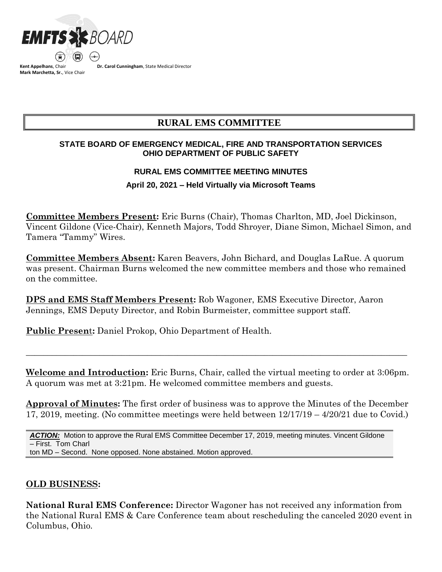

**Kent Appelhans**, Chair **Mark Marchetta, Sr.**, Vice Chair **Dr. Carol Cunningham**, State Medical Director

# **RURAL EMS COMMITTEE**

## **STATE BOARD OF EMERGENCY MEDICAL, FIRE AND TRANSPORTATION SERVICES OHIO DEPARTMENT OF PUBLIC SAFETY**

#### **RURAL EMS COMMITTEE MEETING MINUTES**

#### **April 20, 2021 – Held Virtually via Microsoft Teams**

**Committee Members Present:** Eric Burns (Chair), Thomas Charlton, MD, Joel Dickinson, Vincent Gildone (Vice-Chair), Kenneth Majors, Todd Shroyer, Diane Simon, Michael Simon, and Tamera "Tammy" Wires.

**Committee Members Absent:** Karen Beavers, John Bichard, and Douglas LaRue. A quorum was present. Chairman Burns welcomed the new committee members and those who remained on the committee.

**DPS and EMS Staff Members Present:** Rob Wagoner, EMS Executive Director, Aaron Jennings, EMS Deputy Director, and Robin Burmeister, committee support staff.

**Public Presen**t**:** Daniel Prokop, Ohio Department of Health.

**Welcome and Introduction:** Eric Burns, Chair, called the virtual meeting to order at 3:06pm. A quorum was met at 3:21pm. He welcomed committee members and guests.

 $\_$  , and the set of the set of the set of the set of the set of the set of the set of the set of the set of the set of the set of the set of the set of the set of the set of the set of the set of the set of the set of th

**Approval of Minutes:** The first order of business was to approve the Minutes of the December 17, 2019, meeting. (No committee meetings were held between 12/17/19 – 4/20/21 due to Covid.)

ACTION: Motion to approve the Rural EMS Committee December 17, 2019, meeting minutes. Vincent Gildone – First. Tom Charl ton MD – Second. None opposed. None abstained. Motion approved.

## **OLD BUSINESS:**

**National Rural EMS Conference:** Director Wagoner has not received any information from the National Rural EMS & Care Conference team about rescheduling the canceled 2020 event in Columbus, Ohio.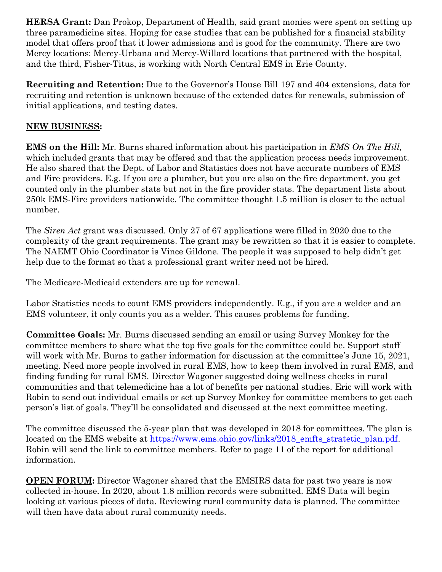**HERSA Grant:** Dan Prokop, Department of Health, said grant monies were spent on setting up three paramedicine sites. Hoping for case studies that can be published for a financial stability model that offers proof that it lower admissions and is good for the community. There are two Mercy locations: Mercy-Urbana and Mercy-Willard locations that partnered with the hospital, and the third, Fisher-Titus, is working with North Central EMS in Erie County.

**Recruiting and Retention:** Due to the Governor's House Bill 197 and 404 extensions, data for recruiting and retention is unknown because of the extended dates for renewals, submission of initial applications, and testing dates.

# **NEW BUSINESS:**

**EMS on the Hill:** Mr. Burns shared information about his participation in *EMS On The Hill,*  which included grants that may be offered and that the application process needs improvement. He also shared that the Dept. of Labor and Statistics does not have accurate numbers of EMS and Fire providers. E.g. If you are a plumber, but you are also on the fire department, you get counted only in the plumber stats but not in the fire provider stats. The department lists about 250k EMS-Fire providers nationwide. The committee thought 1.5 million is closer to the actual number.

The *Siren Act* grant was discussed. Only 27 of 67 applications were filled in 2020 due to the complexity of the grant requirements. The grant may be rewritten so that it is easier to complete. The NAEMT Ohio Coordinator is Vince Gildone. The people it was supposed to help didn't get help due to the format so that a professional grant writer need not be hired.

The Medicare-Medicaid extenders are up for renewal.

Labor Statistics needs to count EMS providers independently. E.g., if you are a welder and an EMS volunteer, it only counts you as a welder. This causes problems for funding.

**Committee Goals:** Mr. Burns discussed sending an email or using Survey Monkey for the committee members to share what the top five goals for the committee could be. Support staff will work with Mr. Burns to gather information for discussion at the committee's June 15, 2021, meeting. Need more people involved in rural EMS, how to keep them involved in rural EMS, and finding funding for rural EMS. Director Wagoner suggested doing wellness checks in rural communities and that telemedicine has a lot of benefits per national studies. Eric will work with Robin to send out individual emails or set up Survey Monkey for committee members to get each person's list of goals. They'll be consolidated and discussed at the next committee meeting.

The committee discussed the 5-year plan that was developed in 2018 for committees. The plan is located on the EMS website at [https://www.ems.ohio.gov/links/2018\\_emfts\\_stratetic\\_plan.pdf.](https://www.ems.ohio.gov/links/2018_emfts_stratetic_plan.pdf) Robin will send the link to committee members. Refer to page 11 of the report for additional information.

**OPEN FORUM:** Director Wagoner shared that the EMSIRS data for past two years is now collected in-house. In 2020, about 1.8 million records were submitted. EMS Data will begin looking at various pieces of data. Reviewing rural community data is planned. The committee will then have data about rural community needs.